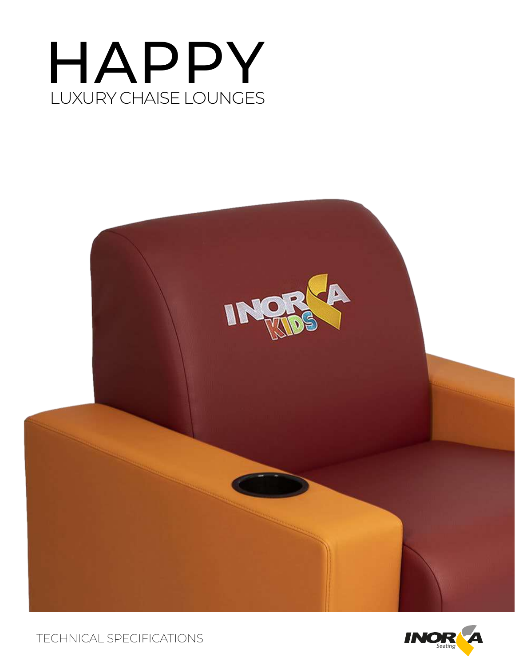# HAPPY LUXURY CHAISE LOUNGES





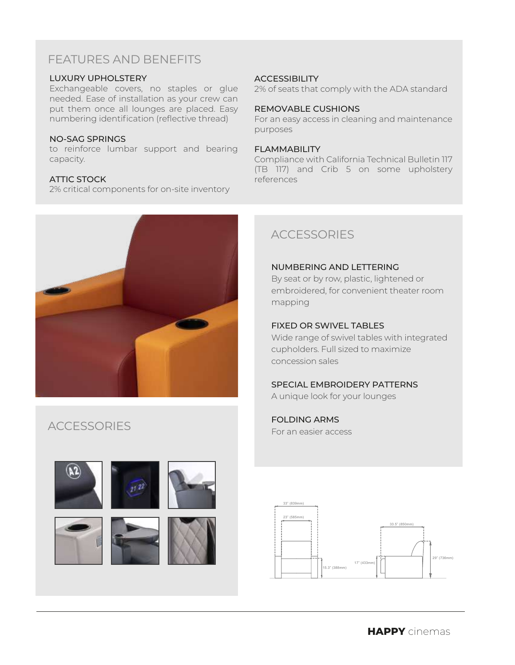### FEATURES AND BENEFITS

### LUXURY UPHOLSTERY

Exchangeable covers, no staples or glue needed. Ease of installation as your crew can put them once all lounges are placed. Easy numbering identification (reflective thread)

#### NO-SAG SPRINGS

to reinforce lumbar support and bearing capacity.

### ATTIC STOCK

2% critical components for on-site inventory

### **ACCESSIBILITY**

2% of seats that comply with the ADA standard

#### REMOVABLE CUSHIONS

For an easy access in cleaning and maintenance purposes

#### FLAMMABILITY

Compliance with California Technical Bulletin 117 (TB 117) and Crib 5 on some upholstery references



## **ACCESSORIES**











### **ACCESSORIES**

### NUMBERING AND LETTERING

By seat or by row, plastic, lightened or embroidered, for convenient theater room mapping

### FIXED OR SWIVEL TABLES

Wide range of swivel tables with integrated cupholders. Full sized to maximize concession sales

#### SPECIAL EMBROIDERY PATTERNS

A unique look for your lounges

## FOLDING ARMS

For an easier access

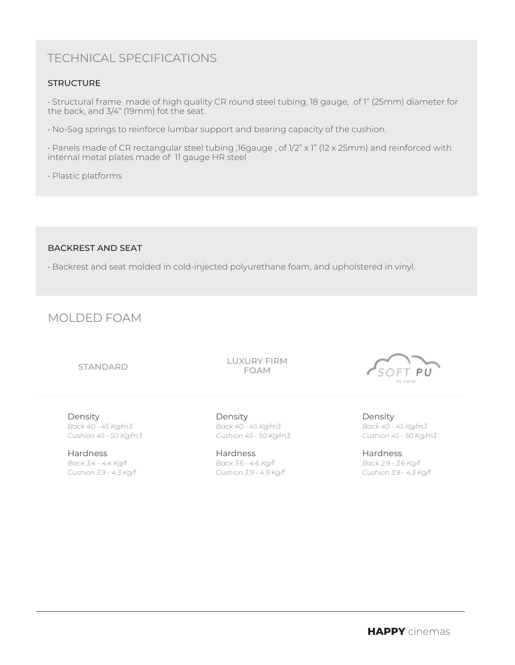### TECHNICAL SPECIFICATIONS

### **STRUCTURE**

• Structural frame made of high quality CR round steel tubing, 18 gauge, of 1" (25mm) diameter for the back, and 3/4" (19mm) fot the seat.

• No-Sag springs to reinforce lumbar support and bearing capacity of the cushion.

• Panels made of CR rectangular steel tubing ,16gauge , of 1/2" x 1" (12 x 25mm) and reinforced with internal metal plates made of 11 gauge HR steel

• Plastic platforms

### BACKREST AND SEAT

• Backrest and seat molded in cold-injected polyurethane foam, and upholstered in vinyl.

### MOLDED FOAM

#### STANDARD

LUXURY FIRM FOAM

Density *Back 40 - 45 Kg/m3 Cushion 45 - 50 Kg/m3*

Hardness *Back 3.4 - 4.4 Kg/f Cushion 3.9 - 4.3 Kg/f*

Density *Back 40 - 45 Kg/m3 Cushion 45 - 50 Kg/m3*

Hardness *Back 3.6 - 4.6 Kg/f Cushion 3.9 - 4.9 Kg/f*



Density *Back 40 - 45 Kg/m3 Cushion 45 - 50 Kg/m3*

Hardness *Back 2.9 - 3.6 Kg/f Cushion 3.9 - 4.3 Kg/f*